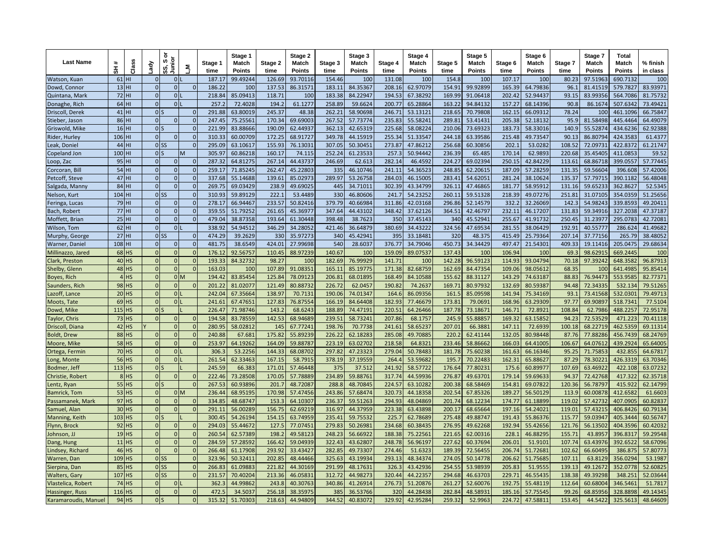| <b>Last Name</b>                | $\pmb{\ast}$<br>풊  | <b>Clas</b> | ਕੈਰੀ                     | ā<br>Junior<br>ဖာ<br>ທົ | ×ِّ آ           | Stage 1<br>time | Stage 1<br>Match<br>Points | Stage 2<br>time  | Stage 2<br>Match<br>Points | Stage 3<br>time  | Stage 3<br>Match<br><b>Points</b> | Stage 4<br>time | Stage 4<br>Match<br><b>Points</b> | Stage 5<br>time | Stage 5<br>Match<br>Points | Stage 6<br>time  | Stage 6<br>Match<br>Points | Stage 7<br>time | Stage 7<br>Match<br>Points | <b>Total</b><br>Match<br><b>Points</b> | % finish<br>in class |
|---------------------------------|--------------------|-------------|--------------------------|-------------------------|-----------------|-----------------|----------------------------|------------------|----------------------------|------------------|-----------------------------------|-----------------|-----------------------------------|-----------------|----------------------------|------------------|----------------------------|-----------------|----------------------------|----------------------------------------|----------------------|
| Watson, Kuan                    | $61$ HI            |             | $\Omega$                 | $\mathbf 0$             |                 | 187.1           | 99.49244                   | 126.69           | 93.7011                    | 154.46           | 100                               | 131.08          | 10 <sup>c</sup>                   | 154.8           | 100                        | 107.17           | 100                        | 80.23           | 97.5196                    | 690.7132                               | 100                  |
| Dowd, Connor                    | $13$ HI            |             | $\Omega$                 | $\Omega$                |                 | 186.2           | 100                        | 137.53           | 86.31571                   | 183.1            | 84.3536                           | 208.16          | 62.97079                          | 154.91          | 99.92899                   | 165.39           | 64.79836                   | 96.1            | 81.41519                   | 579.7827                               | 83.93971             |
| Quintana, Mark                  | 72 HI              |             | $\Omega$                 | $\Omega$                |                 | 218.8           | 85.09413                   | 118.71           | 100                        | 183.38           | 84.2294                           | 194.53          | 67.38292                          | 169.99          | 91.06418                   | 202.42           | 52.94437                   | 93.15           | 83.99356                   | 564.7086                               | 81.75732             |
| Donaghe, Rich                   | 64 HI              |             | $\mathbf{0}$             | $\mathbf{0}$            |                 | 257.            | 72.4028                    | 194.2            | 61.1277                    | 258.89           | 59.6624                           | 200.77          | 65.28864                          | 163.22          | 94.84132                   | 157.27           | 68.14396                   | 90.8            | 86.1674                    | 507.6342                               | 73.49421             |
| Driscoll, Derek                 | $41$ HI            |             | 0                        |                         |                 | 291.8           | 63.80019                   | 245.37           | 48.38                      | 262.21           | 58.90698                          | 246.71          | 53.13121                          | 218.65          | 70.79808                   | 162.15           | 66.09312                   | 78.24           | 100                        | 461.1096                               | 66.75847             |
| Stieber, Jason                  | 86 HI              |             | $\Omega$                 | $\Omega$                |                 | 247.4           | 75.25561                   | 170.34           | 69.69003                   | 267.52           | 57.73774                          | 235.83          | 55.58241                          | 289.81          | 53.41431                   | 205.38           | 52.18132                   | 95.9            | 81.58498                   | 445.4464                               | 64.49079             |
| Griswold, Mike                  | $16$ HI            |             | 0                        |                         |                 | 221.9           | 83.88666                   | 190.09           | 62.44937                   | 362.13           | 42.65319                          | 225.68          | 58.08224                          | 210.06          | 73.69323                   | 183.73           | 58.33016                   | 140.9           | 55.52874                   | 434.6236                               | 62.92388             |
| Rider, Hurley                   | 106 HI             |             | $\overline{0}$           | $\Omega$                |                 | 310.3           | 60.00709                   | 172.25           | 68.91727                   | 349.78           | 44.15919                          | 255.34          | 51.33547                          | 244.18          | 63.39586                   | 215.48           | 49.73547                   | 90.13           | 86.80794                   | 424.3583                               | 61.4377              |
| Leak, Doniel                    | 44 HI              |             |                          | 0 <sub>SS</sub>         |                 | 295.0           | 63.10617                   | 155.93           | 76.13031                   | 307.0            | 50.30451                          | 273.8           | 47.86212                          | 256.68          | 60.30856                   | 202.3            | 53.0282                    | 108.52          | 72.0973                    | 422.8372                               | 61.21747             |
| Copeland Jon                    | 100 HI             |             | 0!                       |                         | M               | 305.9           | 60.86218                   | 160.17           | 74.115                     | 252.24           | 61.23533                          | 257.3           | 50.94442                          | 236.39          | 65.485                     | 170.14           | 62.9893                    | 220.68          | 35.45405                   | 411.0853                               | 59.52                |
| Loop, Zac                       | 95 HI              |             | $\overline{0}$           | $\Omega$                |                 | 287.3           | 64.81275                   | 267.14           | 44.43737                   | 246.69           | 62.613                            | 282.14          | 46.4592                           | 224.27          | 69.02394                   | 250.15           | 42.84229                   | 113.61          | 68.86718                   | 399.0557                               | 57.77445             |
| Corcoran, Bill                  | 54 HI              |             | $\Omega$                 | $\Omega$                |                 | 259.1           | 71.8524                    | 262.47           | 45.22803                   | 335              | 46.10746                          | 241.11          | 54.36523                          | 248.85          | 62.20615                   | 187.09           | 57.28259                   | 131.35          | 59.56604                   | 396,608                                | 57.42006             |
| Petcoff, Steve                  | $47$ HI            |             | $\Omega$                 | $\Omega$                |                 | 337.6           | 55.14688                   | 139.61           | 85.02973                   | 289.97           | 53.26758                          | 284.03          | 46.1500                           | 283.41          | 54.6205                    | 281.24           | 38.10624                   | 135.37          | 57.7971                    | 390.1182                               | 56.48048             |
| Salgada, Manny                  | $84$ HI            |             | $\overline{0}$           | $\Omega$                |                 | 269.7           | 69.03429                   | 238.9            | 49.69025                   | 445              | 34.71011                          | 302.39          | 43.34799                          | 326.11          | 47.46865                   | 181.77           | 58.95912                   | 131.16          | 59.65233                   | 362.8627                               | 52.5345              |
| Nelson, Kurt                    | 104 HI             |             | 0 <sub>5</sub>           |                         |                 | 310.9           | 59.89129                   | 222.1            | 53.4489                    | 330              | 46.80606                          | 241.7           | 54.23252                          | 260.11          | 59.51328                   | 218.39           | 49.07276                   | 251.81          | 31.07105                   | 354.0359                               | 51.25656             |
| Feringa, Lucas                  | 79 HI              |             | $\Omega$                 | $\Omega$                |                 | 278.1           | 66.94467                   | 233.57           | 50.82416                   | 379.79           | 40.6698                           | 311.86          | 42.03168                          | 296.86          | 52.14579                   | 332.2            | 32.26069                   | 142.3           | 54.98243                   | 339.8593                               | 49.20411             |
| Bach, Robert                    | 77 HI              |             | $\overline{0}$           | $\Omega$                | $\Omega$        | 359.5           | 51.79252                   | 261.65           | 45.36977                   | 347.64           | 44.43102                          | 348.42          | 37.62126                          | 364.51          | 42.46797                   | 232.11           | 46.17207                   | 131.83          | 59.34916                   | 327.2038                               | 47.37187             |
| Moffett, Brian                  | $25$ HI            |             | $\mathbf{0}$             | $\Omega$                |                 | 479.0           | 38.87358                   | 193.64           | 61.30448                   | 398.48           | 38.7623                           | 350             | 37.45143                          | 340             | 45.52941                   | 255.67           | 41.91732                   | 250.45          | 31.23977                   | 295.0783                               | 42.72081             |
| Wilson, Tom                     | $62$ HI            |             | $\Omega$                 | $\mathbf{0}$            |                 | 338.9           | 54.94512                   | 346.29           | 34.28052                   | 421.46           | 36.64879                          | 380.69          | 34.43222                          | 324.56          | 47.69534                   | 281.55           | 38.06429                   | 192.91          | 40.5577                    | 286.624                                | 41.49682             |
| Murphy, George                  | $27$ HI            |             |                          | ols:                    |                 | 474.29          | 39.2629                    | 330              | 35.97273                   | 340              | 45.42941                          | 395             | 33.18481                          | 320             | 48.375                     | 415.49           | 25.79364                   | 207.14          | 37.77156                   | 265.79                                 | 38.48052             |
| Warner, Daniel                  | 108 HI             |             | $\overline{0}$           | $\Omega$                | $\Omega$        | 481.75          | 38.6549                    | 424.01           | 27.99698                   | 540              | 28.6037                           | 376.77          | 34.79046                          | 450.73          | 34.34429                   | 497.47           | 21.54301                   | 409.33          | 19.11416                   | 205.0475                               | 29.68634             |
| Millinazzo, Jared               | $68$ HS            |             | $\Omega$                 | $\Omega$                |                 | 176.12          | 92.56757                   | 110.45           | 88.97239                   | 140.67           | 100                               | 159.09          | 89.07537                          | 137.43          | 100                        | 106.94           | 100                        | 69.3            | 98.62915                   | 669.2445                               | 100                  |
| Clark, Preston                  | $40$ HS            |             | $\mathbf{0}$             | $\Omega$                |                 | 193.3           | 84.32732                   | 98.27            | 100                        | 182.69           | 76.99929                          | 141.71          | 10 <sub>C</sub>                   | 142.28          | 96.59123                   | 114.93           | 93.04794                   | 70.18           | 97.39242                   | 648.3582                               | 96.87913             |
| Shelby, Glenn                   | 48 HS              |             | $\Omega$                 | $\Omega$                |                 | 163.03          | 10 <sub>0</sub>            | 107.89           | 91.08351                   | 165.11           | 85.19775                          | 171.38          | 82.68759                          | 162.69          | 84.47354                   | 109.06           | 98.05612                   | 68.35           | 10 <sup>c</sup>            | 641.4985                               | 95.85414             |
| Boyes, Rich                     |                    | $4$ HS      | $\mathbf{0}$<br>$\Omega$ | $\Omega$                | 0 <sub>M</sub>  | 194.4           | 83.85454                   | 125.84           | 78.09123                   | 206.81           | 68.01895                          | 168.49          | 84.10588                          | 155.62          | 88.31127                   | 143.29           | 74.63187                   | 88.83           | 76.94473                   | 553.9585                               | 82.77371             |
| Saunders, Rich<br>Lazoff, Lance | 98 HS<br>$20$ HS   |             | $\Omega$                 | $\mathbf{0}$            |                 | 201.2<br>242.0  | 81.0207<br>67.35664        | 121.49<br>138.97 | 80.8873<br>70.7131         | 226.72<br>190.06 | 62.045<br>74.01347                | 190.82<br>164.6 | 74.2637<br>86.09356               | 169.71<br>161.5 | 80.97932<br>85.09598       | 132.69<br>141.94 | 80.59387<br>75.34169       | 94.48<br>93.1   | 72.3433<br>73.41568        | 532.134<br>532.0301                    | 79.51265<br>79.49713 |
| Moots, Tate                     | 69 HS              |             | $\mathbf{0}$             | $\mathbf{0}$            |                 | 241.6           | 67.4765                    | 127.83           | 76.87554                   | 166.19           | 84.64408                          | 182.93          | 77.46679                          | 173.81          | 79.0691                    | 168.96           | 63.29309                   | 97.77           | 69.9089                    | 518.7341                               | 77.5104              |
| Dowd, Mike                      | $115$ HS           |             | $\overline{0}$           |                         |                 | 226.4           | 71.98746                   | 143.2            | 68.6243                    | 188.89           | 74.47191                          | 220.51          | 64.26466                          | 187.78          | 73.18671                   | 146.71           | 72.8921                    | 108.84          | 62.7986                    | 488.2257                               | 72.95178             |
| Taylor, Chris                   | $73$ HS            |             | $\Omega$                 | $\Omega$                |                 | 194.5           | 83.78559                   | 142.53           | 68.94689                   | 239.5            | 58.73241                          | 207.86          | 68.1757                           | 245.9           | 55.88857                   | 169.32           | 63.15852                   | 94.23           | 72.53529                   | 471.223                                | 70.41118             |
| Driscoll, Diana                 | $42$ HS            |             |                          | $\Omega$                |                 | 280.9           | 58.02812                   | 145              | 67.77241                   | 198.76           | 70.7738                           | 241.61          | 58.65237                          | 207.01          | 66.3883                    | 147.11           | 72.6939                    | 100.18          | 68.22719                   | 462.5359                               | 69.11314             |
| <b>Boldt, Drew</b>              | 88 HS              |             | $\Omega$                 | $\Omega$                |                 | 240.8           | 67.68                      | 175.82           | 55.89239                   | 226.22           | 62.18283                          | 285.08          | 49.7088                           | 220.2           | 62.41144                   | 132.05           | 80.98448                   | 87.76           | 77.8828                    | 456.7439                               | 68.24769             |
| Moore, Mike                     | 58 HS              |             | $\Omega$                 | $\Omega$                |                 | 253.9           | 64.19262                   | 164.09           | 59.88787                   | 223.19           | 63.02702                          | 218.58          | 64.832                            | 233.46          | 58.86662                   | 166.03           | 64.41005                   | 106.67          | 64.0761                    | 439.2924                               | 65.64005             |
| Ortega, Fermin                  | 70 HS              |             | $\mathbf{0}$             | $\mathbf{0}$            |                 | 306.            | 53.2256                    | 144.33           | 68.08702                   | 297.82           | 47.23323                          | 279.04          | 50.78483                          | 181.78          | 75.60238                   | 161.63           | 66.16346                   | 95.25           | 71.75853                   | 432.855                                | 64.67817             |
| Long, Monte                     | 56 HS              |             | $\Omega$                 | $\Omega$                |                 | 261.54          | 62.33463                   | 167.15           | 58.7915                    | 378.19           | 37.19559                          | 264.4           | 53.59682                          | 195.7           | 70.22483                   | 162.31           | 65.88627                   | 87.29           | 78.3022                    | 426.3319                               | 63.70346             |
| Bodmer. Jeff                    | $113$ HS           |             | 0                        |                         |                 | 245.5           | 66.383                     | 171.01           | 57.46448                   | 375              | 37.512                            | 241.92          | 58.57722                          | 176.64          | 77.80231                   | 175.6            | 60.89977                   | 107.69          | 63.4692                    | 422.108                                | 63.07232             |
| Christie, Robert                | $8$ HS             |             | $\Omega$                 | $\Omega$                |                 | 222.4           | 73.28508                   | 170.05           | 57.78889                   | 234.89           | 59.8876                           | 317.74          | 44.59936                          | 276.87          | 49.6370                    | 179.14           | 59.69633                   | 94.37           | 72.42768                   | 417.322                                | 62.35718             |
| Lentz, Ryan                     | $55$ HS            |             | $\Omega$                 |                         |                 | 267.5           | 60.93896                   | 201.7            | 48.7208                    | 288.8            | 48.70845                          | 224.57          | 63.10282                          | 200.38          | 68.58469                   | 154.81           | 69.07822                   | 120.36          | 56.7879                    | 415.922                                | 62.14799             |
| <b>Bamrick, Tom</b>             | $53$ HS            |             | $\Omega$                 |                         | 0 <sup>nd</sup> | 236.4           | 68.95195                   | 170.98           | 57.47456                   | 243.86           | 57.68474                          | 320.73          | 44.18358                          | 202.54          | 67.85326                   | 189.27           | 56.50129                   | 113.9           | 60.00878                   | 412.6582                               | 61.6603              |
| Passamanek, Mark                | $97$ HS            |             | $\Omega$                 |                         |                 | 334.8           | 48.68747                   | 153.             | 64.10307                   | 236.3            | 59.51263                          | 294.93          | 48.04869                          | 201.74          | 68.12234                   | 174.77           | 61.18899                   | 119.02          | 57.42732                   | 407.0905                               | 60.82837             |
| Samuel, Alan                    | $30$ HS            |             | $\Omega$                 | $\Omega$                |                 | 291.1           | 56.00289                   | 156.75           | 62.69219                   | 316.97           | 44.37959                          | 223.38          | 63.43898                          | 200.17          | 68.65664                   | 197.16           | 54.24021                   | 119.01          | 57.4321                    | 406.8426                               | 60.79134             |
| Manning, Keith                  | $103$ HS           |             | $\overline{0}$           |                         |                 | 300.4           | 54.26194                   | 154.15           | 63.74959                   | 235.4            | 59.75532                          | 225.            | 62.78689                          | 275.48          | 49.88747                   | 191.43           | 55.86376                   | 115.77          | 59.0394                    | 405.3444                               | 60.56747             |
| Flynn, Brock                    | $92$ HS            |             | $\Omega$                 |                         |                 | 294.0           | 55.4467                    | 127.             | 77.07451                   | 279.8            | 50.2698                           | 234.68          | 60.38435                          | 276.95          | 49.62268                   | 192.94           | 55.42656                   | 121.76          | 56.1350                    | 404.3596                               | 60.42032             |
| Johnson, JJ                     | $19$ HS            |             | $\Omega$                 | $\Omega$                |                 | 260.5           | 62.57389                   | 198.2            | 49.58123                   | 248.23           | 56.6692                           | 188.38          | 75.2256                           | 221.65          | 62.00316                   | 228.1            | 46.88295                   | 155.71          | 43.895                     | 396.8317                               | 59.29548             |
| Dang, Hung                      | $11$ <sup>HS</sup> |             | $\mathbf{0}$             | $\Omega$                |                 | 284.5           | 57.28592                   | 166.42           | 59.04939                   | 322.43           | 43.6280                           | 248.78          | 56.96197                          | 227.62          | 60.37694                   | 206.01           | 51.9101                    | 107.74          | 63.4397                    | 392.6522                               | 58.67096             |
| Lindsey, Richard                | 46 HS              |             | $\overline{0}$           | $\Omega$                |                 | 266.4           | 61.17908                   | 293.92           | 33.4342                    | 282.8            | 49.7330                           | 274.46          | 51.6323                           | 189.39          | 72.56455                   | 206.74           | 51.72681                   | 102.62          | 66.60495                   | 386.875                                | 57.80773             |
| Warren, Dan                     | 109 HS             |             | 0 <sub>5</sub>           |                         |                 | 323.9           | 50.3241:                   | 202.85           | 48.44466                   | 325.63           | 43.1993                           | 293.13          | 48.3437                           | 274.05          | 50.14778                   | 206.62           | 51.75685                   | 107.11          | 63.812                     | 356.0294                               | 53.1987              |
| Sierpina, Dan                   | 85 HS              |             |                          | 0 <sub>SS</sub>         |                 | 266.8           | 61.09883                   | 221.82           | 44.30169                   | 291.99           | 48.1763                           | 326.3           | 43.42936                          | 254.55          | 53.98939                   | 205.83           | 51.9555                    | 139.13          | 49.12672                   | 352.0778                               | 52.60825             |
| Walters, Gary                   | 107 HS             |             |                          | $0$ <sub>SS</sub>       |                 | 231.5           | 70.40204                   | 213.36           | 46.05831                   | 312.72           | 44.98273                          | 320.44          | 44.22357                          | 294.68          | 46.63703                   | 229.71           | 46.55435                   | 138.38          | 49.39298                   | 348.251                                | 52.03644             |
| Vlastelica, Robert              | $74$ HS            |             | $\Omega$                 | $\Omega$                |                 | 362.            | 44.99862                   | 243.8            | 40.30763                   | 340.86           | 41.26914                          | 276.73          | 51.20876                          | 261.27          | 52.60076                   | 192.75           | 55.48119                   | 112.64          | 60.6800                    | 346.5461                               | 51.7817              |
| Hassinger, Russ                 | 116                | <b>HS</b>   | $\Omega$                 | $\Omega$                |                 | 472.            | 34.5037                    | 256.18           | 38.35975                   | 385              | 36.53766                          | 320             | 44.28438                          | 282.84          | 48.5893                    | 185.16           | 57.75545                   | 99.26           | 68.85956                   | 328.8898                               | 49.14345             |
| Karamaroudis, Manuel            | $94$ HS            |             | 0 <sup>5</sup>           |                         |                 | 315.32          | 51.70303                   | 218.63           | 44.94809                   | 344.52           | 40.83072                          | 329.92          | 42.95284                          | 259.32          | 52.9963                    | 224.72           | 47.58811                   | 153.45          | 44.5422                    | 325.5613                               | 48.64609             |